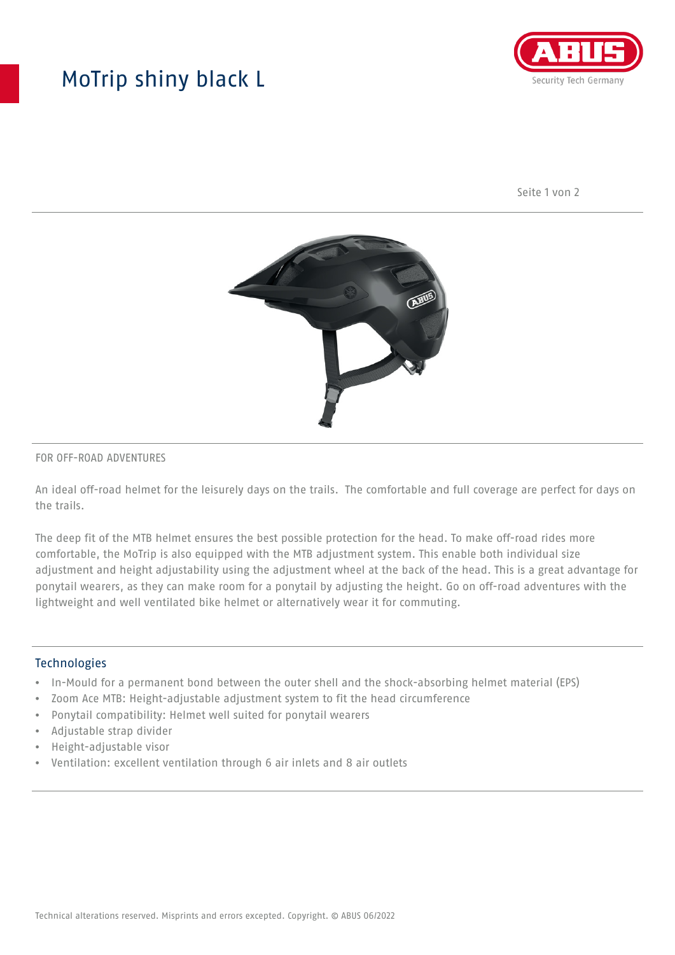## MoTrip shiny black L



Seite 1 von 2



#### FOR OFF-ROAD ADVENTURES

An ideal off-road helmet for the leisurely days on the trails. The comfortable and full coverage are perfect for days on the trails.

The deep fit of the MTB helmet ensures the best possible protection for the head. To make off-road rides more comfortable, the MoTrip is also equipped with the MTB adjustment system. This enable both individual size adjustment and height adjustability using the adjustment wheel at the back of the head. This is a great advantage for ponytail wearers, as they can make room for a ponytail by adjusting the height. Go on off-road adventures with the lightweight and well ventilated bike helmet or alternatively wear it for commuting.

#### Technologies

- In-Mould for a permanent bond between the outer shell and the shock-absorbing helmet material (EPS)
- Zoom Ace MTB: Height-adjustable adjustment system to fit the head circumference
- Ponytail compatibility: Helmet well suited for ponytail wearers
- Adjustable strap divider
- Height-adjustable visor
- Ventilation: excellent ventilation through 6 air inlets and 8 air outlets